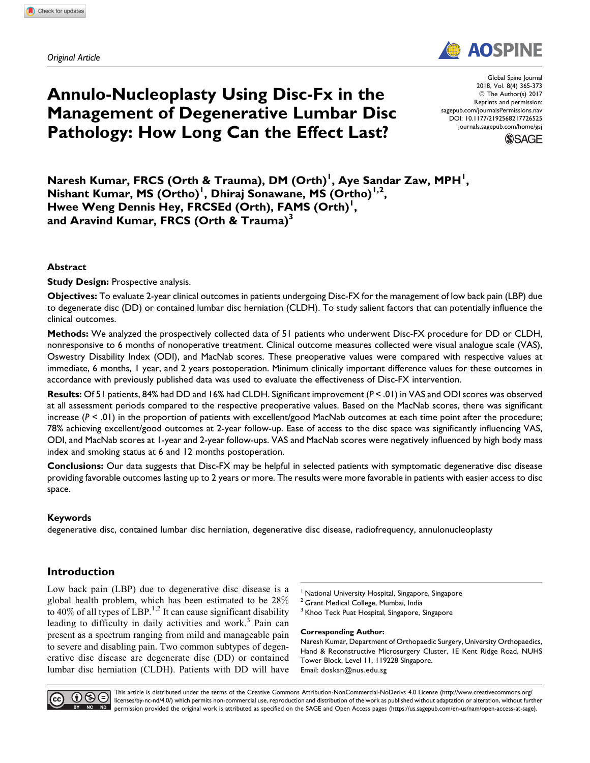Original Article

# Annulo-Nucleoplasty Using Disc-Fx in the Management of Degenerative Lumbar Disc Pathology: How Long Can the Effect Last?

Global Spine Journal 2018, Vol. 8(4) 365-373 © The Author(s) 2017 Reprints and permission: [sagepub.com/journalsPermissions.nav](https://us.sagepub.com/en-us/journals-permissions) [DOI: 10.1177/2192568217726525](https://doi.org/10.1177/2192568217726525) [journals.sagepub.com/home/gsj](http://journals.sagepub.com/home/gsj)

**AOSPIN** 

**SSAGE** 

Naresh Kumar, FRCS (Orth & Trauma), DM (Orth)<sup>I</sup>, Aye Sandar Zaw, MPH<sup>I</sup>, Nishant Kumar, MS (Ortho)<sup>1</sup>, Dhiraj Sonawane, MS (Ortho)<sup>1,2</sup>, Hwee Weng Dennis Hey, FRCSEd (Orth), FAMS (Orth)<sup>1</sup>, and Aravind Kumar, FRCS (Orth & Trauma)<sup>3</sup>

## Abstract

**Study Design: Prospective analysis.** 

Objectives: To evaluate 2-year clinical outcomes in patients undergoing Disc-FX for the management of low back pain (LBP) due to degenerate disc (DD) or contained lumbar disc herniation (CLDH). To study salient factors that can potentially influence the clinical outcomes.

Methods: We analyzed the prospectively collected data of 51 patients who underwent Disc-FX procedure for DD or CLDH, nonresponsive to 6 months of nonoperative treatment. Clinical outcome measures collected were visual analogue scale (VAS), Oswestry Disability Index (ODI), and MacNab scores. These preoperative values were compared with respective values at immediate, 6 months, 1 year, and 2 years postoperation. Minimum clinically important difference values for these outcomes in accordance with previously published data was used to evaluate the effectiveness of Disc-FX intervention.

Results: Of 51 patients, 84% had DD and 16% had CLDH. Significant improvement  $(P < .01)$  in VAS and ODI scores was observed at all assessment periods compared to the respective preoperative values. Based on the MacNab scores, there was significant increase  $(P \le 0)$  in the proportion of patients with excellent/good MacNab outcomes at each time point after the procedure; 78% achieving excellent/good outcomes at 2-year follow-up. Ease of access to the disc space was significantly influencing VAS, ODI, and MacNab scores at 1-year and 2-year follow-ups. VAS and MacNab scores were negatively influenced by high body mass index and smoking status at 6 and 12 months postoperation.

Conclusions: Our data suggests that Disc-FX may be helpful in selected patients with symptomatic degenerative disc disease providing favorable outcomes lasting up to 2 years or more. The results were more favorable in patients with easier access to disc space.

## Keywords

degenerative disc, contained lumbar disc herniation, degenerative disc disease, radiofrequency, annulonucleoplasty

## Introduction

Low back pain (LBP) due to degenerative disc disease is a global health problem, which has been estimated to be 28% to 40% of all types of LBP.<sup>1,2</sup> It can cause significant disability leading to difficulty in daily activities and work.<sup>3</sup> Pain can present as a spectrum ranging from mild and manageable pain to severe and disabling pain. Two common subtypes of degenerative disc disease are degenerate disc (DD) or contained lumbar disc herniation (CLDH). Patients with DD will have

National University Hospital, Singapore, Singapore

<sup>2</sup> Grant Medical College, Mumbai, India

<sup>3</sup> Khoo Teck Puat Hospital, Singapore, Singapore

Corresponding Author:

Naresh Kumar, Department of Orthopaedic Surgery, University Orthopaedics, Hand & Reconstructive Microsurgery Cluster, 1E Kent Ridge Road, NUHS Tower Block, Level 11, 119228 Singapore. Email: [dosksn@nus.edu.sg](mailto:dosksn@nus.edu.sg)



This article is distributed under the terms of the Creative Commons Attribution-NonCommercial-NoDerivs 4.0 License ([http://www.creativecommons.org/](http://www.creativecommons.org/licenses/by-nc-nd/4.0/) [licenses/by-nc-nd/4.0/\)](http://www.creativecommons.org/licenses/by-nc-nd/4.0/) which permits non-commercial use, reproduction and distribution of the work as published without adaptation or alteration, without further NG ND permission provided the original work is attributed as specified on the SAGE and Open Access pages [\(https://us.sagepub.com/en-us/nam/open-access-at-sage](https://us.sagepub.com/en-us/nam/open-access-at-sage)).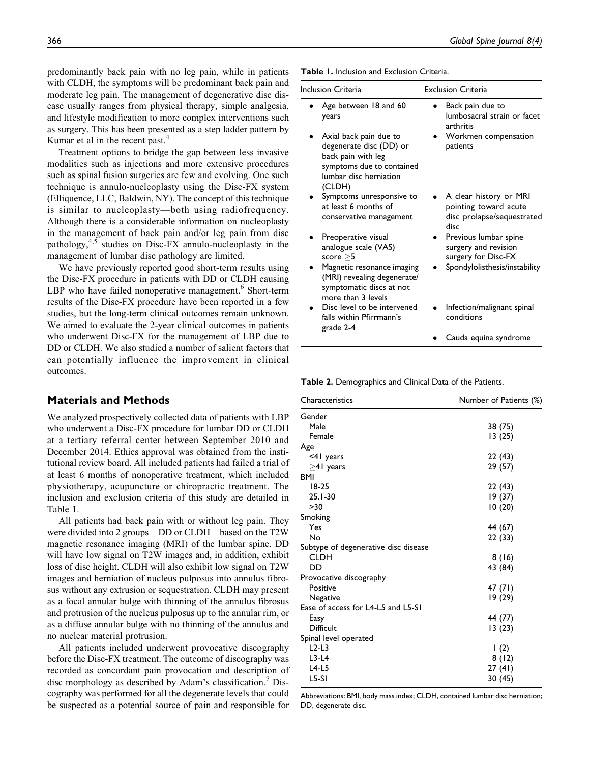predominantly back pain with no leg pain, while in patients with CLDH, the symptoms will be predominant back pain and moderate leg pain. The management of degenerative disc disease usually ranges from physical therapy, simple analgesia, and lifestyle modification to more complex interventions such as surgery. This has been presented as a step ladder pattern by Kumar et al in the recent past.<sup>4</sup>

Treatment options to bridge the gap between less invasive modalities such as injections and more extensive procedures such as spinal fusion surgeries are few and evolving. One such technique is annulo-nucleoplasty using the Disc-FX system (Elliquence, LLC, Baldwin, NY). The concept of this technique is similar to nucleoplasty—both using radiofrequency. Although there is a considerable information on nucleoplasty in the management of back pain and/or leg pain from disc pathology, $4.5$  studies on Disc-FX annulo-nucleoplasty in the management of lumbar disc pathology are limited.

We have previously reported good short-term results using the Disc-FX procedure in patients with DD or CLDH causing LBP who have failed nonoperative management.<sup>6</sup> Short-term results of the Disc-FX procedure have been reported in a few studies, but the long-term clinical outcomes remain unknown. We aimed to evaluate the 2-year clinical outcomes in patients who underwent Disc-FX for the management of LBP due to DD or CLDH. We also studied a number of salient factors that can potentially influence the improvement in clinical outcomes.

### Materials and Methods

We analyzed prospectively collected data of patients with LBP who underwent a Disc-FX procedure for lumbar DD or CLDH at a tertiary referral center between September 2010 and December 2014. Ethics approval was obtained from the institutional review board. All included patients had failed a trial of at least 6 months of nonoperative treatment, which included physiotherapy, acupuncture or chiropractic treatment. The inclusion and exclusion criteria of this study are detailed in Table 1.

All patients had back pain with or without leg pain. They were divided into 2 groups—DD or CLDH—based on the T2W magnetic resonance imaging (MRI) of the lumbar spine. DD will have low signal on T2W images and, in addition, exhibit loss of disc height. CLDH will also exhibit low signal on T2W images and herniation of nucleus pulposus into annulus fibrosus without any extrusion or sequestration. CLDH may present as a focal annular bulge with thinning of the annulus fibrosus and protrusion of the nucleus pulposus up to the annular rim, or as a diffuse annular bulge with no thinning of the annulus and no nuclear material protrusion.

All patients included underwent provocative discography before the Disc-FX treatment. The outcome of discography was recorded as concordant pain provocation and description of disc morphology as described by Adam's classification.<sup>7</sup> Discography was performed for all the degenerate levels that could be suspected as a potential source of pain and responsible for

Table 1. Inclusion and Exclusion Criteria.

| Inclusion Criteria                                                                                                                       | <b>Exclusion Criteria</b>                                                             |
|------------------------------------------------------------------------------------------------------------------------------------------|---------------------------------------------------------------------------------------|
| Age between 18 and 60<br>years                                                                                                           | Back pain due to<br>lumbosacral strain or facet<br>arthritis                          |
| Axial back pain due to<br>degenerate disc (DD) or<br>back pain with leg<br>symptoms due to contained<br>lumbar disc herniation<br>(CLDH) | Workmen compensation<br>patients                                                      |
| Symptoms unresponsive to<br>at least 6 months of<br>conservative management                                                              | A clear history or MRI<br>pointing toward acute<br>disc prolapse/sequestrated<br>disc |
| Preoperative visual<br>analogue scale (VAS)<br>score $>5$                                                                                | Previous lumbar spine<br>surgery and revision<br>surgery for Disc-FX                  |
| Magnetic resonance imaging<br>(MRI) revealing degenerate/<br>symptomatic discs at not<br>more than 3 levels                              | Spondylolisthesis/instability                                                         |
| Disc level to be intervened<br>falls within Pfirrmann's<br>grade 2-4                                                                     | Infection/malignant spinal<br>conditions                                              |
|                                                                                                                                          | Cauda equina syndrome                                                                 |

Table 2. Demographics and Clinical Data of the Patients.

| Characteristics                      | Number of Patients (%) |
|--------------------------------------|------------------------|
| Gender                               |                        |
| Male                                 | 38 (75)                |
| Female                               | 13(25)                 |
| Age                                  |                        |
| <41 years                            | 22 (43)                |
| $\geq$ 41 years                      | 29 (57)                |
| <b>BMI</b>                           |                        |
| 18-25                                | 22 (43)                |
| $25.1 - 30$                          | 19 (37)                |
| >30                                  | 10(20)                 |
| Smoking                              |                        |
| Yes                                  | 44 (67)                |
| No                                   | 22 (33)                |
| Subtype of degenerative disc disease |                        |
| CLDH                                 | 8(16)                  |
| DD                                   | 43 (84)                |
| Provocative discography              |                        |
| Positive                             | 47 (71)                |
| Negative                             | 19 (29)                |
| Ease of access for L4-L5 and L5-S1   |                        |
| Easy                                 | 44 (77)                |
| Difficult                            | 13(23)                 |
| Spinal level operated                |                        |
| $L2-L3$                              | $\vert$ (2)            |
| $L3-L4$                              | 8 (12)                 |
| $L4-L5$                              | 27 (41)                |
| $L5-SI$                              | 30 (45)                |

Abbreviations: BMI, body mass index; CLDH, contained lumbar disc herniation; DD, degenerate disc.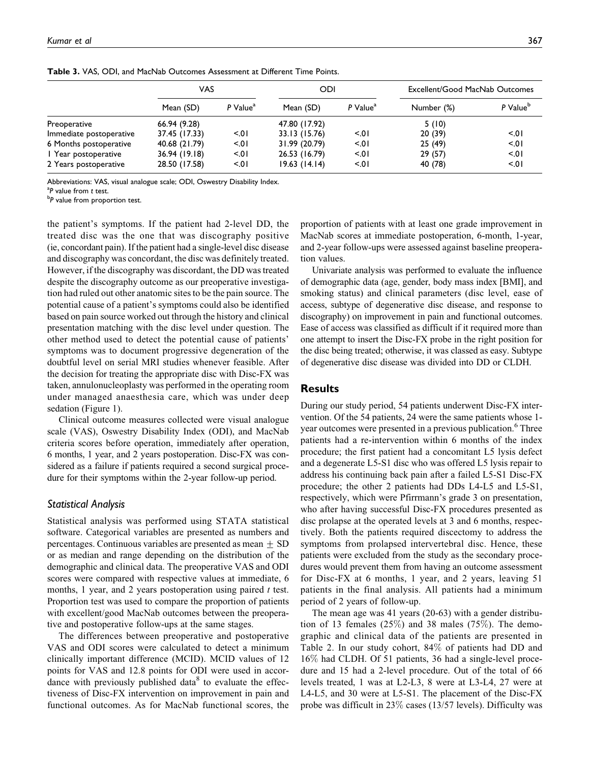|                         | VAS           |                        | ODI           |                      | Excellent/Good MacNab Outcomes |                      |  |
|-------------------------|---------------|------------------------|---------------|----------------------|--------------------------------|----------------------|--|
|                         | Mean (SD)     | $P$ Value <sup>a</sup> | Mean (SD)     | P Value <sup>a</sup> | Number (%)                     | P Value <sup>b</sup> |  |
| Preoperative            | 66.94 (9.28)  |                        | 47.80 (17.92) |                      | 5(10)                          |                      |  |
| Immediate postoperative | 37.45 (17.33) | 5.01                   | 33.13 (15.76) | 5.01                 | 20(39)                         | 5.01                 |  |
| 6 Months postoperative  | 40.68 (21.79) | 5.01                   | 31.99 (20.79) | 5.01                 | 25(49)                         | 5.01                 |  |
| I Year postoperative    | 36.94 (19.18) | 5.01                   | 26.53 (16.79) | 5.01                 | 29(57)                         | 5.01                 |  |
| 2 Years postoperative   | 28.50 (17.58) | 5.01                   | 19.63(14.14)  | 5.01                 | 40 (78)                        | 5.01                 |  |

Table 3. VAS, ODI, and MacNab Outcomes Assessment at Different Time Points.

Abbreviations: VAS, visual analogue scale; ODI, Oswestry Disability Index.

<sup>a</sup>P value from t test.

 ${}^{b}P$  value from proportion test.

the patient's symptoms. If the patient had 2-level DD, the treated disc was the one that was discography positive (ie, concordant pain). If the patient had a single-level disc disease and discography was concordant, the disc was definitely treated. However, if the discography was discordant, the DD was treated despite the discography outcome as our preoperative investigation had ruled out other anatomic sites to be the pain source. The potential cause of a patient's symptoms could also be identified based on pain source worked out through the history and clinical presentation matching with the disc level under question. The other method used to detect the potential cause of patients' symptoms was to document progressive degeneration of the doubtful level on serial MRI studies whenever feasible. After the decision for treating the appropriate disc with Disc-FX was taken, annulonucleoplasty was performed in the operating room under managed anaesthesia care, which was under deep sedation (Figure 1).

Clinical outcome measures collected were visual analogue scale (VAS), Oswestry Disability Index (ODI), and MacNab criteria scores before operation, immediately after operation, 6 months, 1 year, and 2 years postoperation. Disc-FX was considered as a failure if patients required a second surgical procedure for their symptoms within the 2-year follow-up period.

#### Statistical Analysis

Statistical analysis was performed using STATA statistical software. Categorical variables are presented as numbers and percentages. Continuous variables are presented as mean  $\pm$  SD or as median and range depending on the distribution of the demographic and clinical data. The preoperative VAS and ODI scores were compared with respective values at immediate, 6 months, 1 year, and 2 years postoperation using paired  $t$  test. Proportion test was used to compare the proportion of patients with excellent/good MacNab outcomes between the preoperative and postoperative follow-ups at the same stages.

The differences between preoperative and postoperative VAS and ODI scores were calculated to detect a minimum clinically important difference (MCID). MCID values of 12 points for VAS and 12.8 points for ODI were used in accordance with previously published data $8$  to evaluate the effectiveness of Disc-FX intervention on improvement in pain and functional outcomes. As for MacNab functional scores, the proportion of patients with at least one grade improvement in MacNab scores at immediate postoperation, 6-month, 1-year, and 2-year follow-ups were assessed against baseline preoperation values.

Univariate analysis was performed to evaluate the influence of demographic data (age, gender, body mass index [BMI], and smoking status) and clinical parameters (disc level, ease of access, subtype of degenerative disc disease, and response to discography) on improvement in pain and functional outcomes. Ease of access was classified as difficult if it required more than one attempt to insert the Disc-FX probe in the right position for the disc being treated; otherwise, it was classed as easy. Subtype of degenerative disc disease was divided into DD or CLDH.

## Results

During our study period, 54 patients underwent Disc-FX intervention. Of the 54 patients, 24 were the same patients whose 1 year outcomes were presented in a previous publication.<sup>6</sup> Three patients had a re-intervention within 6 months of the index procedure; the first patient had a concomitant L5 lysis defect and a degenerate L5-S1 disc who was offered L5 lysis repair to address his continuing back pain after a failed L5-S1 Disc-FX procedure; the other 2 patients had DDs L4-L5 and L5-S1, respectively, which were Pfirrmann's grade 3 on presentation, who after having successful Disc-FX procedures presented as disc prolapse at the operated levels at 3 and 6 months, respectively. Both the patients required discectomy to address the symptoms from prolapsed intervertebral disc. Hence, these patients were excluded from the study as the secondary procedures would prevent them from having an outcome assessment for Disc-FX at 6 months, 1 year, and 2 years, leaving 51 patients in the final analysis. All patients had a minimum period of 2 years of follow-up.

The mean age was 41 years (20-63) with a gender distribution of 13 females  $(25\%)$  and 38 males  $(75\%)$ . The demographic and clinical data of the patients are presented in Table 2. In our study cohort, 84% of patients had DD and 16% had CLDH. Of 51 patients, 36 had a single-level procedure and 15 had a 2-level procedure. Out of the total of 66 levels treated, 1 was at L2-L3, 8 were at L3-L4, 27 were at L4-L5, and 30 were at L5-S1. The placement of the Disc-FX probe was difficult in 23% cases (13/57 levels). Difficulty was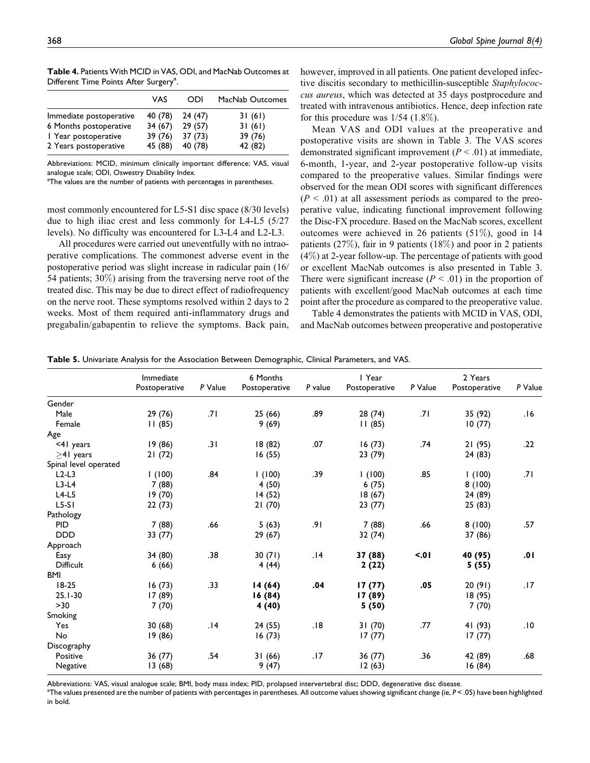|                         | VAS     | ODI     | MacNab Outcomes |
|-------------------------|---------|---------|-----------------|
| Immediate postoperative | 40 (78) | 24(47)  | 31(61)          |
| 6 Months postoperative  | 34(67)  | 29(57)  | 31(61)          |
| I Year postoperative    | 39(76)  | 37(73)  | 39(76)          |
| 2 Years postoperative   | 45 (88) | 40 (78) | 42 (82)         |

Table 4. Patients With MCID in VAS, ODI, and MacNab Outcomes at Different Time Points After Surgery<sup>a</sup>.

Abbreviations: MCID, minimum clinically important difference; VAS, visual analogue scale; ODI, Oswestry Disability Index.

<sup>a</sup>The values are the number of patients with percentages in parentheses.

most commonly encountered for L5-S1 disc space (8/30 levels) due to high iliac crest and less commonly for L4-L5 (5/27 levels). No difficulty was encountered for L3-L4 and L2-L3.

All procedures were carried out uneventfully with no intraoperative complications. The commonest adverse event in the postoperative period was slight increase in radicular pain (16/ 54 patients; 30%) arising from the traversing nerve root of the treated disc. This may be due to direct effect of radiofrequency on the nerve root. These symptoms resolved within 2 days to 2 weeks. Most of them required anti-inflammatory drugs and pregabalin/gabapentin to relieve the symptoms. Back pain, however, improved in all patients. One patient developed infective discitis secondary to methicillin-susceptible Staphylococcus aureus, which was detected at 35 days postprocedure and treated with intravenous antibiotics. Hence, deep infection rate for this procedure was  $1/54$  (1.8%).

Mean VAS and ODI values at the preoperative and postoperative visits are shown in Table 3. The VAS scores demonstrated significant improvement  $(P < .01)$  at immediate, 6-month, 1-year, and 2-year postoperative follow-up visits compared to the preoperative values. Similar findings were observed for the mean ODI scores with significant differences  $(P < .01)$  at all assessment periods as compared to the preoperative value, indicating functional improvement following the Disc-FX procedure. Based on the MacNab scores, excellent outcomes were achieved in 26 patients (51%), good in 14 patients (27%), fair in 9 patients (18%) and poor in 2 patients (4%) at 2-year follow-up. The percentage of patients with good or excellent MacNab outcomes is also presented in Table 3. There were significant increase  $(P < .01)$  in the proportion of patients with excellent/good MacNab outcomes at each time point after the procedure as compared to the preoperative value.

Table 4 demonstrates the patients with MCID in VAS, ODI, and MacNab outcomes between preoperative and postoperative

Table 5. Univariate Analysis for the Association Between Demographic, Clinical Parameters, and VAS.

|                       | Immediate<br>Postoperative | P Value | 6 Months<br>Postoperative | P value | I Year<br>Postoperative | P Value | 2 Years<br>Postoperative | P Value |
|-----------------------|----------------------------|---------|---------------------------|---------|-------------------------|---------|--------------------------|---------|
| Gender                |                            |         |                           |         |                         |         |                          |         |
| Male                  | 29(76)                     | .71     | 25(66)                    | .89     | 28(74)                  | .71     | 35 (92)                  | 16.     |
| Female                | 11(85)                     |         | 9(69)                     |         | 11(85)                  |         | 10(77)                   |         |
| Age                   |                            |         |                           |         |                         |         |                          |         |
| $<$ 41 years          | 19(86)                     | .31     | 18(82)                    | .07     | 16(73)                  | .74     | 21 (95)                  | .22     |
| $>41$ years           | 21(72)                     |         | 16(55)                    |         | 23(79)                  |         | 24 (83)                  |         |
| Spinal level operated |                            |         |                           |         |                         |         |                          |         |
| $L2-L3$               | 1(100)                     | .84     | 1(100)                    | .39     | 1(100)                  | .85     | 1(100)                   | .71     |
| $L3-L4$               | 7(88)                      |         | 4(50)                     |         | 6(75)                   |         | 8(100)                   |         |
| $L4-L5$               | 19(70)                     |         | 14(52)                    |         | 18(67)                  |         | 24 (89)                  |         |
| $L5-SI$               | 22 (73)                    |         | 21(70)                    |         | 23(77)                  |         | 25(83)                   |         |
| Pathology             |                            |         |                           |         |                         |         |                          |         |
| <b>PID</b>            | 7(88)                      | .66     | 5(63)                     | .91     | 7(88)                   | .66     | 8(100)                   | .57     |
| <b>DDD</b>            | 33(77)                     |         | 29(67)                    |         | 32(74)                  |         | 37 (86)                  |         |
| Approach              |                            |         |                           |         |                         |         |                          |         |
| Easy                  | 34 (80)                    | .38     | 30(71)                    | .14     | 37 (88)                 | 5.01    | 40 (95)                  | 10.     |
| Difficult             | 6(66)                      |         | 4(44)                     |         | 2(22)                   |         | 5(55)                    |         |
| <b>BMI</b>            |                            |         |                           |         |                         |         |                          |         |
| $18-25$               | 16(73)                     | .33     | 14 (64)                   | .04     | 17(77)                  | .05     | 20(91)                   | .17     |
| $25.1 - 30$           | 17 (89)                    |         | 16(84)                    |         | 17 (89)                 |         | 18 (95)                  |         |
| $>30$                 | 7(70)                      |         | 4(40)                     |         | 5(50)                   |         | 7(70)                    |         |
| Smoking               |                            |         |                           |         |                         |         |                          |         |
| Yes                   | 30(68)                     | .14     | 24(55)                    | .18     | 31(70)                  | .77     | 41 (93)                  | .10     |
| No                    | 19 (86)                    |         | 16(73)                    |         | 17(77)                  |         | 17(77)                   |         |
| Discography           |                            |         |                           |         |                         |         |                          |         |
| Positive              | 36 (77)                    | .54     | 31(66)                    | .17     | 36 (77)                 | .36     | 42 (89)                  | .68     |
| Negative              | 13(68)                     |         | 9(47)                     |         | 12(63)                  |         | 16(84)                   |         |

Abbreviations: VAS, visual analogue scale; BMI, body mass index; PID, prolapsed intervertebral disc; DDD, degenerative disc disease.

 $^{\rm a}$ The values presented are the number of patients with percentages in parentheses. All outcome values showing significant change (ie,  $P$  < .05) have been highlighted in bold.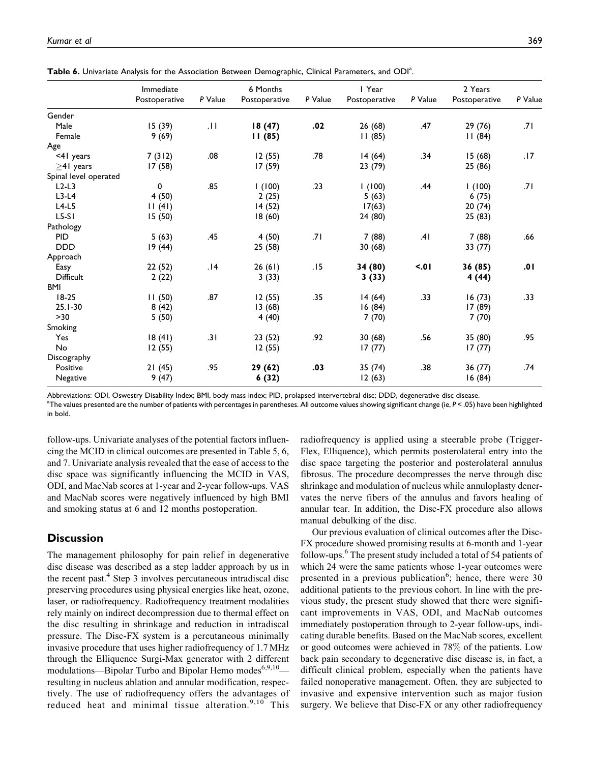|                       | Immediate<br>Postoperative | P Value | 6 Months<br>Postoperative | P Value | I Year<br>Postoperative | P Value | 2 Years<br>Postoperative | P Value |
|-----------------------|----------------------------|---------|---------------------------|---------|-------------------------|---------|--------------------------|---------|
| Gender                |                            |         |                           |         |                         |         |                          |         |
| Male                  | 15(39)                     | .11     | 18(47)                    | .02     | 26(68)                  | .47     | 29(76)                   | .71     |
| Female                | 9(69)                      |         | 11(85)                    |         | 11(85)                  |         | 11(84)                   |         |
| Age                   |                            |         |                           |         |                         |         |                          |         |
| <41 years             | 7(312)                     | .08     | 12(55)                    | .78     | 14(64)                  | .34     | 15(68)                   | .17     |
| $>41$ years           | 17(58)                     |         | 17(59)                    |         | 23 (79)                 |         | 25 (86)                  |         |
| Spinal level operated |                            |         |                           |         |                         |         |                          |         |
| $L2-L3$               | 0                          | .85     | 1(100)                    | .23     | 1(100)                  | .44     | 1(100)                   | .71     |
| $L3-L4$               | 4(50)                      |         | 2(25)                     |         | 5(63)                   |         | 6(75)                    |         |
| $L4-L5$               | 11(41)                     |         | 14 (52)                   |         | 17(63)                  |         | 20(74)                   |         |
| $L5-S1$               | 15(50)                     |         | 18(60)                    |         | 24 (80)                 |         | 25(83)                   |         |
| Pathology             |                            |         |                           |         |                         |         |                          |         |
| <b>PID</b>            | 5(63)                      | .45     | 4 (50)                    | .71     | 7 (88)                  | .41     | 7(88)                    | .66     |
| <b>DDD</b>            | 19(44)                     |         | 25(58)                    |         | 30(68)                  |         | 33 (77)                  |         |
| Approach              |                            |         |                           |         |                         |         |                          |         |
| Easy                  | 22(52)                     | .14     | 26(61)                    | .15     | 34 (80)                 | 5.01    | 36 (85)                  | 10.     |
| <b>Difficult</b>      | 2(22)                      |         | 3(33)                     |         | 3(33)                   |         | 4 (44)                   |         |
| <b>BMI</b>            |                            |         |                           |         |                         |         |                          |         |
| $18-25$               | 11(50)                     | .87     | 12(55)                    | .35     | 14(64)                  | .33     | 16(73)                   | .33     |
| $25.1 - 30$           | 8(42)                      |         | 13(68)                    |         | 16(84)                  |         | 17 (89)                  |         |
| $>30$                 | 5(50)                      |         | 4(40)                     |         | 7(70)                   |         | 7(70)                    |         |
| Smoking               |                            |         |                           |         |                         |         |                          |         |
| Yes                   | 18(41)                     | .31     | 23(52)                    | .92     | 30(68)                  | .56     | 35 (80)                  | .95     |
| No                    | 12(55)                     |         | 12(55)                    |         | 17(77)                  |         | 17(77)                   |         |
| Discography           |                            |         |                           |         |                         |         |                          |         |
| Positive              | 21(45)                     | .95     | 29 (62)                   | .03     | 35 (74)                 | .38     | 36 (77)                  | .74     |
| Negative              | 9(47)                      |         | 6(32)                     |         | 12(63)                  |         | 16(84)                   |         |

Table 6. Univariate Analysis for the Association Between Demographic, Clinical Parameters, and ODI<sup>a</sup>.

Abbreviations: ODI, Oswestry Disability Index; BMI, body mass index; PID, prolapsed intervertebral disc; DDD, degenerative disc disease.

a The values presented are the number of patients with percentages in parentheses. All outcome values showing significant change (ie, P < .05) have been highlighted in bold.

follow-ups. Univariate analyses of the potential factors influencing the MCID in clinical outcomes are presented in Table 5, 6, and 7. Univariate analysis revealed that the ease of access to the disc space was significantly influencing the MCID in VAS, ODI, and MacNab scores at 1-year and 2-year follow-ups. VAS and MacNab scores were negatively influenced by high BMI and smoking status at 6 and 12 months postoperation.

## **Discussion**

The management philosophy for pain relief in degenerative disc disease was described as a step ladder approach by us in the recent past.<sup>4</sup> Step 3 involves percutaneous intradiscal disc preserving procedures using physical energies like heat, ozone, laser, or radiofrequency. Radiofrequency treatment modalities rely mainly on indirect decompression due to thermal effect on the disc resulting in shrinkage and reduction in intradiscal pressure. The Disc-FX system is a percutaneous minimally invasive procedure that uses higher radiofrequency of 1.7MHz through the Elliquence Surgi-Max generator with 2 different modulations—Bipolar Turbo and Bipolar Hemo modes<sup>6,9,10</sup> resulting in nucleus ablation and annular modification, respectively. The use of radiofrequency offers the advantages of reduced heat and minimal tissue alteration. $9,10$  This

radiofrequency is applied using a steerable probe (Trigger-Flex, Elliquence), which permits posterolateral entry into the disc space targeting the posterior and posterolateral annulus fibrosus. The procedure decompresses the nerve through disc shrinkage and modulation of nucleus while annuloplasty denervates the nerve fibers of the annulus and favors healing of annular tear. In addition, the Disc-FX procedure also allows manual debulking of the disc.

Our previous evaluation of clinical outcomes after the Disc-FX procedure showed promising results at 6-month and 1-year follow-ups.<sup>6</sup> The present study included a total of 54 patients of which 24 were the same patients whose 1-year outcomes were presented in a previous publication<sup>6</sup>; hence, there were 30 additional patients to the previous cohort. In line with the previous study, the present study showed that there were significant improvements in VAS, ODI, and MacNab outcomes immediately postoperation through to 2-year follow-ups, indicating durable benefits. Based on the MacNab scores, excellent or good outcomes were achieved in 78% of the patients. Low back pain secondary to degenerative disc disease is, in fact, a difficult clinical problem, especially when the patients have failed nonoperative management. Often, they are subjected to invasive and expensive intervention such as major fusion surgery. We believe that Disc-FX or any other radiofrequency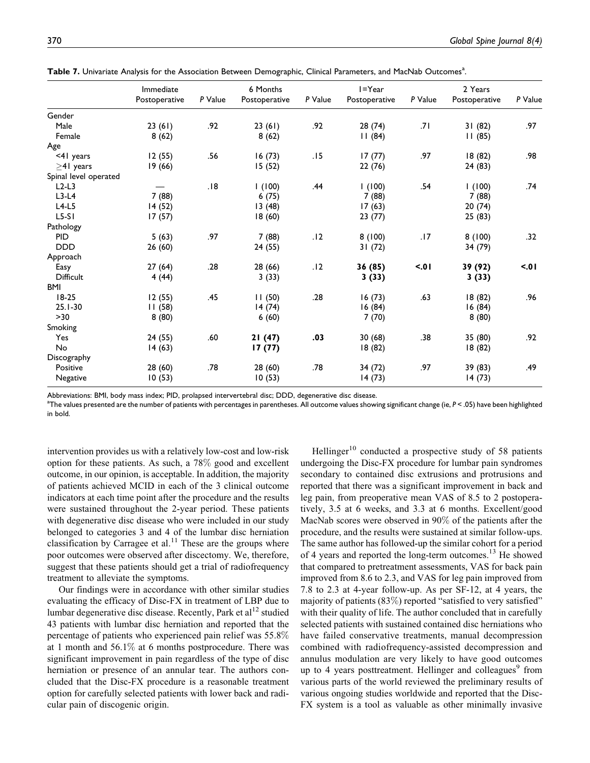|                       | Immediate     |         | 6 Months<br>P Value |     | $I = Year$<br>P Value |      | 2 Years<br>Postoperative | P Value |
|-----------------------|---------------|---------|---------------------|-----|-----------------------|------|--------------------------|---------|
|                       | Postoperative | P Value | Postoperative       |     | Postoperative         |      |                          |         |
| Gender                |               |         |                     |     |                       |      |                          |         |
| Male                  | 23(61)        | .92     | 23(61)              | .92 | 28 (74)               | .71  | 31(82)                   | .97     |
| Female                | 8(62)         |         | 8(62)               |     | 11(84)                |      | 11(85)                   |         |
| Age                   |               |         |                     |     |                       |      |                          |         |
| <41 years             | 12(55)        | .56     | 16(73)              | .15 | 17(77)                | .97  | 18(82)                   | .98     |
| $\geq$ 41 years       | 19(66)        |         | 15(52)              |     | 22(76)                |      | 24 (83)                  |         |
| Spinal level operated |               |         |                     |     |                       |      |                          |         |
| $L2-L3$               |               | .18     | 1(100)              | .44 | 1(100)                | .54  | 1(100)                   | .74     |
| $L3-L4$               | 7(88)         |         | 6(75)               |     | 7(88)                 |      | 7(88)                    |         |
| $L4-L5$               | 14(52)        |         | 13(48)              |     | 17(63)                |      | 20(74)                   |         |
| $L5-S1$               | 17(57)        |         | 18(60)              |     | 23(77)                |      | 25(83)                   |         |
| Pathology             |               |         |                     |     |                       |      |                          |         |
| <b>PID</b>            | 5(63)         | .97     | 7(88)               | .12 | 8(100)                | .17  | 8(100)                   | .32     |
| <b>DDD</b>            | 26(60)        |         | 24(55)              |     | 31(72)                |      | 34 (79)                  |         |
| Approach              |               |         |                     |     |                       |      |                          |         |
| Easy                  | 27(64)        | .28     | 28 (66)             | .12 | 36(85)                | 5.01 | 39 (92)                  | 5.01    |
| Difficult             | 4(44)         |         | 3(33)               |     | 3(33)                 |      | 3(33)                    |         |
| <b>BMI</b>            |               |         |                     |     |                       |      |                          |         |
| $18-25$               | 12(55)        | .45     | 11(50)              | .28 | 16(73)                | .63  | 18(82)                   | .96     |
| $25.1 - 30$           | 11(58)        |         | 14(74)              |     | 16(84)                |      | 16(84)                   |         |
| $>30$                 | 8(80)         |         | 6(60)               |     | 7(70)                 |      | 8(80)                    |         |
| Smoking               |               |         |                     |     |                       |      |                          |         |
| Yes                   | 24(55)        | .60     | 21(47)              | .03 | 30(68)                | .38  | 35 (80)                  | .92     |
| No                    | 14(63)        |         | 17(77)              |     | 18(82)                |      | 18(82)                   |         |
| Discography           |               |         |                     |     |                       |      |                          |         |
| Positive              | 28 (60)       | .78     | 28(60)              | .78 | 34 (72)               | .97  | 39 (83)                  | .49     |
| Negative              | 10(53)        |         | 10(53)              |     | 14(73)                |      | 14(73)                   |         |

Table 7. Univariate Analysis for the Association Between Demographic, Clinical Parameters, and MacNab Outcomes<sup>a</sup>.

Abbreviations: BMI, body mass index; PID, prolapsed intervertebral disc; DDD, degenerative disc disease.

a The values presented are the number of patients with percentages in parentheses. All outcome values showing significant change (ie, P < .05) have been highlighted in bold.

intervention provides us with a relatively low-cost and low-risk option for these patients. As such, a 78% good and excellent outcome, in our opinion, is acceptable. In addition, the majority of patients achieved MCID in each of the 3 clinical outcome indicators at each time point after the procedure and the results were sustained throughout the 2-year period. These patients with degenerative disc disease who were included in our study belonged to categories 3 and 4 of the lumbar disc herniation classification by Carragee et al.<sup>11</sup> These are the groups where poor outcomes were observed after discectomy. We, therefore, suggest that these patients should get a trial of radiofrequency treatment to alleviate the symptoms.

Our findings were in accordance with other similar studies evaluating the efficacy of Disc-FX in treatment of LBP due to lumbar degenerative disc disease. Recently, Park et al<sup>12</sup> studied 43 patients with lumbar disc herniation and reported that the percentage of patients who experienced pain relief was 55.8% at 1 month and 56.1% at 6 months postprocedure. There was significant improvement in pain regardless of the type of disc herniation or presence of an annular tear. The authors concluded that the Disc-FX procedure is a reasonable treatment option for carefully selected patients with lower back and radicular pain of discogenic origin.

Hellinger<sup>10</sup> conducted a prospective study of 58 patients undergoing the Disc-FX procedure for lumbar pain syndromes secondary to contained disc extrusions and protrusions and reported that there was a significant improvement in back and leg pain, from preoperative mean VAS of 8.5 to 2 postoperatively, 3.5 at 6 weeks, and 3.3 at 6 months. Excellent/good MacNab scores were observed in 90% of the patients after the procedure, and the results were sustained at similar follow-ups. The same author has followed-up the similar cohort for a period of 4 years and reported the long-term outcomes.<sup>13</sup> He showed that compared to pretreatment assessments, VAS for back pain improved from 8.6 to 2.3, and VAS for leg pain improved from 7.8 to 2.3 at 4-year follow-up. As per SF-12, at 4 years, the majority of patients (83%) reported "satisfied to very satisfied" with their quality of life. The author concluded that in carefully selected patients with sustained contained disc herniations who have failed conservative treatments, manual decompression combined with radiofrequency-assisted decompression and annulus modulation are very likely to have good outcomes up to 4 years posttreatment. Hellinger and colleagues<sup>9</sup> from various parts of the world reviewed the preliminary results of various ongoing studies worldwide and reported that the Disc-FX system is a tool as valuable as other minimally invasive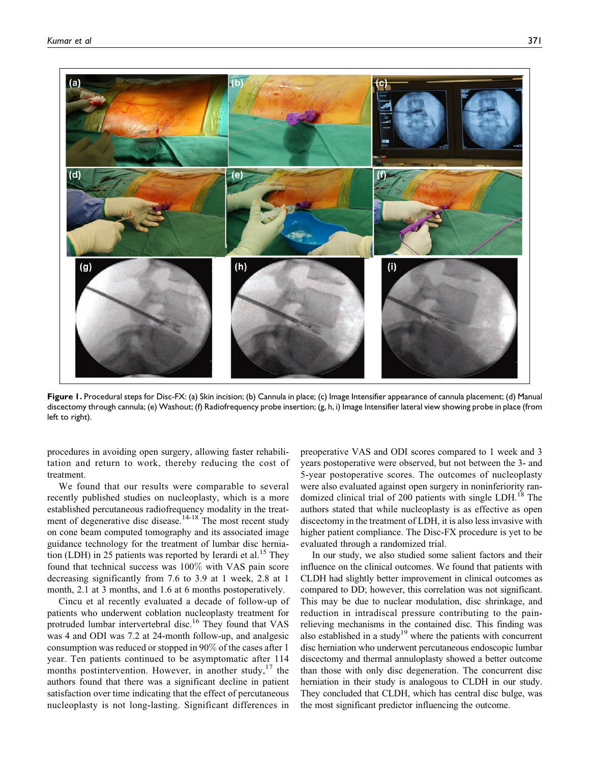

Figure 1. Procedural steps for Disc-FX: (a) Skin incision; (b) Cannula in place; (c) Image Intensifier appearance of cannula placement; (d) Manual discectomy through cannula; (e) Washout; (f) Radiofrequency probe insertion; (g, h, i) Image Intensifier lateral view showing probe in place (from left to right).

procedures in avoiding open surgery, allowing faster rehabilitation and return to work, thereby reducing the cost of treatment.

We found that our results were comparable to several recently published studies on nucleoplasty, which is a more established percutaneous radiofrequency modality in the treatment of degenerative disc disease.<sup>14-18</sup> The most recent study on cone beam computed tomography and its associated image guidance technology for the treatment of lumbar disc herniation (LDH) in 25 patients was reported by Ierardi et al.<sup>15</sup> They found that technical success was 100% with VAS pain score decreasing significantly from 7.6 to 3.9 at 1 week, 2.8 at 1 month, 2.1 at 3 months, and 1.6 at 6 months postoperatively.

Cincu et al recently evaluated a decade of follow-up of patients who underwent coblation nucleoplasty treatment for protruded lumbar intervertebral disc.<sup>16</sup> They found that VAS was 4 and ODI was 7.2 at 24-month follow-up, and analgesic consumption was reduced or stopped in 90% of the cases after 1 year. Ten patients continued to be asymptomatic after 114 months postintervention. However, in another study,  $17$  the authors found that there was a significant decline in patient satisfaction over time indicating that the effect of percutaneous nucleoplasty is not long-lasting. Significant differences in

preoperative VAS and ODI scores compared to 1 week and 3 years postoperative were observed, but not between the 3- and 5-year postoperative scores. The outcomes of nucleoplasty were also evaluated against open surgery in noninferiority randomized clinical trial of 200 patients with single LDH.<sup>18</sup> The authors stated that while nucleoplasty is as effective as open discectomy in the treatment of LDH, it is also less invasive with higher patient compliance. The Disc-FX procedure is yet to be evaluated through a randomized trial.

In our study, we also studied some salient factors and their influence on the clinical outcomes. We found that patients with CLDH had slightly better improvement in clinical outcomes as compared to DD; however, this correlation was not significant. This may be due to nuclear modulation, disc shrinkage, and reduction in intradiscal pressure contributing to the painrelieving mechanisms in the contained disc. This finding was also established in a study<sup>19</sup> where the patients with concurrent disc herniation who underwent percutaneous endoscopic lumbar discectomy and thermal annuloplasty showed a better outcome than those with only disc degeneration. The concurrent disc herniation in their study is analogous to CLDH in our study. They concluded that CLDH, which has central disc bulge, was the most significant predictor influencing the outcome.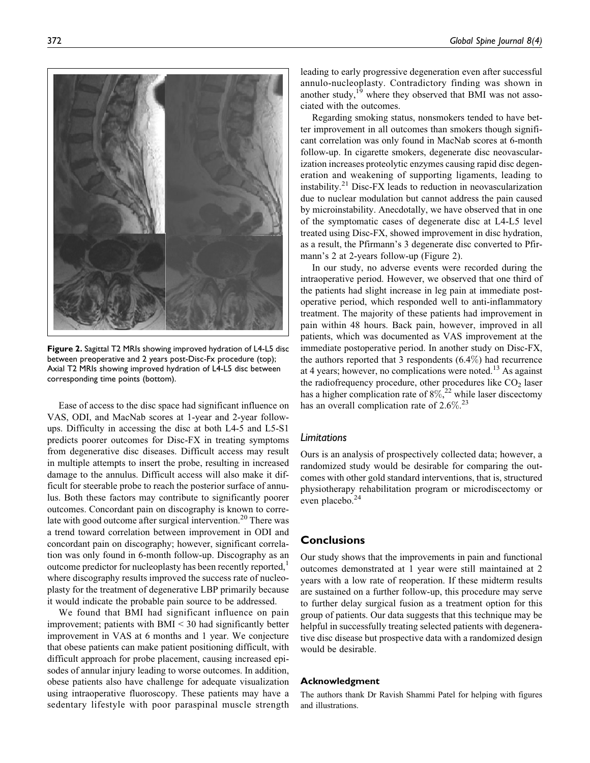

Figure 2. Sagittal T2 MRIs showing improved hydration of L4-L5 disc between preoperative and 2 years post-Disc-Fx procedure (top); Axial T2 MRIs showing improved hydration of L4-L5 disc between corresponding time points (bottom).

Ease of access to the disc space had significant influence on VAS, ODI, and MacNab scores at 1-year and 2-year followups. Difficulty in accessing the disc at both L4-5 and L5-S1 predicts poorer outcomes for Disc-FX in treating symptoms from degenerative disc diseases. Difficult access may result in multiple attempts to insert the probe, resulting in increased damage to the annulus. Difficult access will also make it difficult for steerable probe to reach the posterior surface of annulus. Both these factors may contribute to significantly poorer outcomes. Concordant pain on discography is known to correlate with good outcome after surgical intervention.<sup>20</sup> There was a trend toward correlation between improvement in ODI and concordant pain on discography; however, significant correlation was only found in 6-month follow-up. Discography as an outcome predictor for nucleoplasty has been recently reported,<sup>1</sup> where discography results improved the success rate of nucleoplasty for the treatment of degenerative LBP primarily because it would indicate the probable pain source to be addressed.

We found that BMI had significant influence on pain improvement; patients with BMI < 30 had significantly better improvement in VAS at 6 months and 1 year. We conjecture that obese patients can make patient positioning difficult, with difficult approach for probe placement, causing increased episodes of annular injury leading to worse outcomes. In addition, obese patients also have challenge for adequate visualization using intraoperative fluoroscopy. These patients may have a sedentary lifestyle with poor paraspinal muscle strength leading to early progressive degeneration even after successful annulo-nucleoplasty. Contradictory finding was shown in another study,<sup>19</sup> where they observed that BMI was not associated with the outcomes.

Regarding smoking status, nonsmokers tended to have better improvement in all outcomes than smokers though significant correlation was only found in MacNab scores at 6-month follow-up. In cigarette smokers, degenerate disc neovascularization increases proteolytic enzymes causing rapid disc degeneration and weakening of supporting ligaments, leading to instability.<sup>21</sup> Disc-FX leads to reduction in neovascularization due to nuclear modulation but cannot address the pain caused by microinstability. Anecdotally, we have observed that in one of the symptomatic cases of degenerate disc at L4-L5 level treated using Disc-FX, showed improvement in disc hydration, as a result, the Pfirmann's 3 degenerate disc converted to Pfirmann's 2 at 2-years follow-up (Figure 2).

In our study, no adverse events were recorded during the intraoperative period. However, we observed that one third of the patients had slight increase in leg pain at immediate postoperative period, which responded well to anti-inflammatory treatment. The majority of these patients had improvement in pain within 48 hours. Back pain, however, improved in all patients, which was documented as VAS improvement at the immediate postoperative period. In another study on Disc-FX, the authors reported that 3 respondents (6.4%) had recurrence at 4 years; however, no complications were noted.<sup>13</sup> As against the radiofrequency procedure, other procedures like  $CO<sub>2</sub>$  laser has a higher complication rate of  $8\%$ <sup>22</sup> while laser discectomy has an overall complication rate of  $2.6\%$ <sup>23</sup>

#### Limitations

Ours is an analysis of prospectively collected data; however, a randomized study would be desirable for comparing the outcomes with other gold standard interventions, that is, structured physiotherapy rehabilitation program or microdiscectomy or even placebo.<sup>24</sup>

## **Conclusions**

Our study shows that the improvements in pain and functional outcomes demonstrated at 1 year were still maintained at 2 years with a low rate of reoperation. If these midterm results are sustained on a further follow-up, this procedure may serve to further delay surgical fusion as a treatment option for this group of patients. Our data suggests that this technique may be helpful in successfully treating selected patients with degenerative disc disease but prospective data with a randomized design would be desirable.

#### Acknowledgment

The authors thank Dr Ravish Shammi Patel for helping with figures and illustrations.